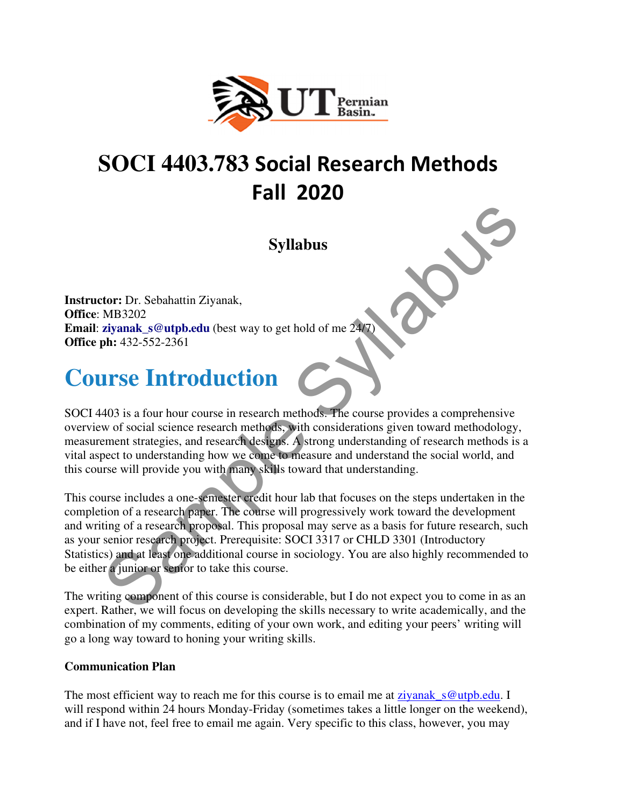

### **SOCI 4403.783** Social Research Methods Fall 2020

**Syllabus** 

**Instructor:** Dr. Sebahattin Ziyanak, **Office**: MB3202 **Email: ziyanak\_s@utpb.edu** (best way to get hold of me  $24/7$ **Office ph:** 432-552-2361

### **Course Introduction**

SOCI 4403 is a four hour course in research methods. The course provides a comprehensive overview of social science research methods, with considerations given toward methodology, measurement strategies, and research designs. A strong understanding of research methods is a vital aspect to understanding how we come to measure and understand the social world, and this course will provide you with many skills toward that understanding.

This course includes a one-semester credit hour lab that focuses on the steps undertaken in the completion of a research paper. The course will progressively work toward the development and writing of a research proposal. This proposal may serve as a basis for future research, such as your senior research project. Prerequisite: SOCI 3317 or CHLD 3301 (Introductory Statistics) and at least one additional course in sociology. You are also highly recommended to be either a junior or senior to take this course. **Syllabus**<br>
Syllabus<br>
MP3302<br>
Notion: Dr. Sebahattin Ziyanak,<br>
MP3322<br>
2013 is a four hour course in research methods. The course provides a comprehensive<br>
we of social science research methods, with considerations given

The writing component of this course is considerable, but I do not expect you to come in as an expert. Rather, we will focus on developing the skills necessary to write academically, and the combination of my comments, editing of your own work, and editing your peers' writing will go a long way toward to honing your writing skills.

#### **Communication Plan**

The most efficient way to reach me for this course is to email me at ziyanak s@utpb.edu. I will respond within 24 hours Monday-Friday (sometimes takes a little longer on the weekend), and if I have not, feel free to email me again. Very specific to this class, however, you may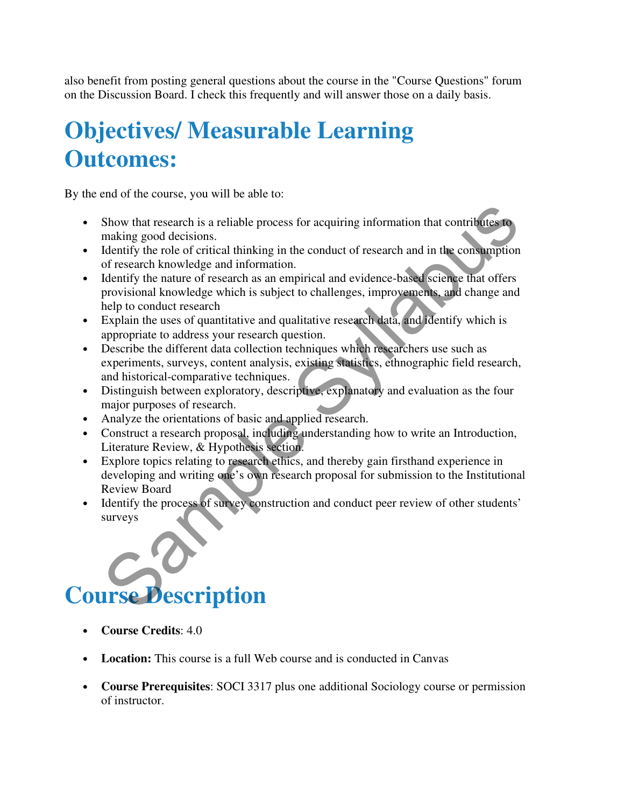also benefit from posting general questions about the course in the "Course Questions" forum on the Discussion Board. I check this frequently and will answer those on a daily basis.

### **Objectives/ Measurable Learning Outcomes:**

By the end of the course, you will be able to:

- Show that research is a reliable process for acquiring information that contributes to making good decisions.
- Identify the role of critical thinking in the conduct of research and in the consumption of research knowledge and information.
- Identify the nature of research as an empirical and evidence-based science that offers provisional knowledge which is subject to challenges, improvements, and change and help to conduct research
- Explain the uses of quantitative and qualitative research data, and identify which is appropriate to address your research question.
- Describe the different data collection techniques which researchers use such as experiments, surveys, content analysis, existing statistics, ethnographic field research, and historical-comparative techniques.
- Distinguish between exploratory, descriptive, explanatory and evaluation as the four major purposes of research.
- Analyze the orientations of basic and applied research.
- Construct a research proposal, including understanding how to write an Introduction, Literature Review, & Hypothesis section.
- Explore topics relating to research ethics, and thereby gain firsthand experience in developing and writing one's own research proposal for submission to the Institutional Review Board Show that research is a reliable process for acquiring information that contributes to<br>making good decisions.<br>
Intentify the role of critical thinking in the conduct of research and in the consumption<br>
of research knowled
- Identify the process of survey construction and conduct peer review of other students' surveys

# **Course Description**

- **Course Credits**: 4.0
- **Location:** This course is a full Web course and is conducted in Canvas
- **Course Prerequisites**: SOCI 3317 plus one additional Sociology course or permission of instructor.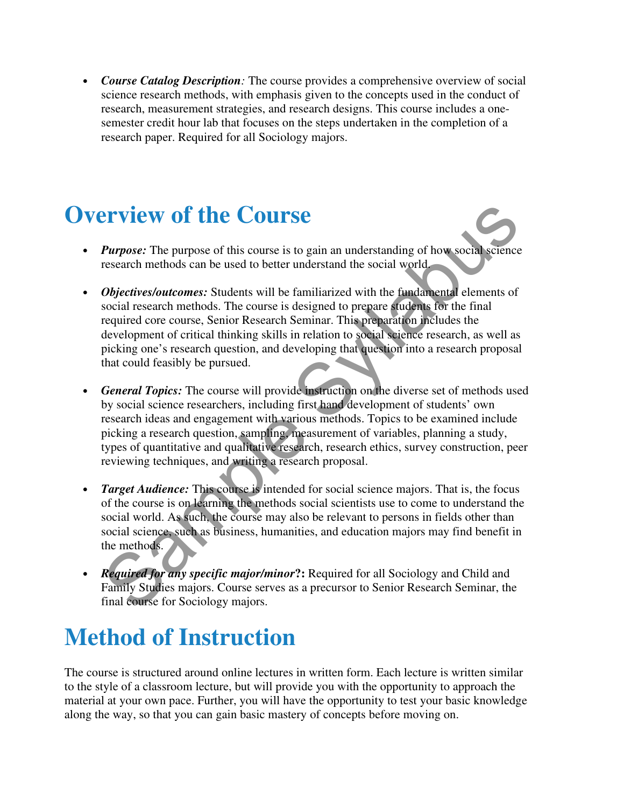• *Course Catalog Description:* The course provides a comprehensive overview of social science research methods, with emphasis given to the concepts used in the conduct of research, measurement strategies, and research designs. This course includes a onesemester credit hour lab that focuses on the steps undertaken in the completion of a research paper. Required for all Sociology majors.

### **Overview of the Course**

- *Purpose:* The purpose of this course is to gain an understanding of how social science research methods can be used to better understand the social world.
- *Objectives/outcomes:* Students will be familiarized with the fundamental elements of social research methods. The course is designed to prepare students for the final required core course, Senior Research Seminar. This preparation includes the development of critical thinking skills in relation to social science research, as well as picking one's research question, and developing that question into a research proposal that could feasibly be pursued.
- *General Topics:* The course will provide instruction on the diverse set of methods used by social science researchers, including first hand development of students' own research ideas and engagement with various methods. Topics to be examined include picking a research question, sampling, measurement of variables, planning a study, types of quantitative and qualitative research, research ethics, survey construction, peer reviewing techniques, and writing a research proposal. **EVALUATE COUTSE**<br> **Purpose:** The purpose of this course is to gain an understanding of how social science<br>
research methods can be used to better understand the social world<br> **Objectives/outcomes:** Students will be famil
- *Target Audience:* This course is intended for social science majors. That is, the focus of the course is on learning the methods social scientists use to come to understand the social world. As such, the course may also be relevant to persons in fields other than social science, such as business, humanities, and education majors may find benefit in the methods.
- *Required for any specific major/minor***?:** Required for all Sociology and Child and Family Studies majors. Course serves as a precursor to Senior Research Seminar, the final course for Sociology majors.

## **Method of Instruction**

The course is structured around online lectures in written form. Each lecture is written similar to the style of a classroom lecture, but will provide you with the opportunity to approach the material at your own pace. Further, you will have the opportunity to test your basic knowledge along the way, so that you can gain basic mastery of concepts before moving on.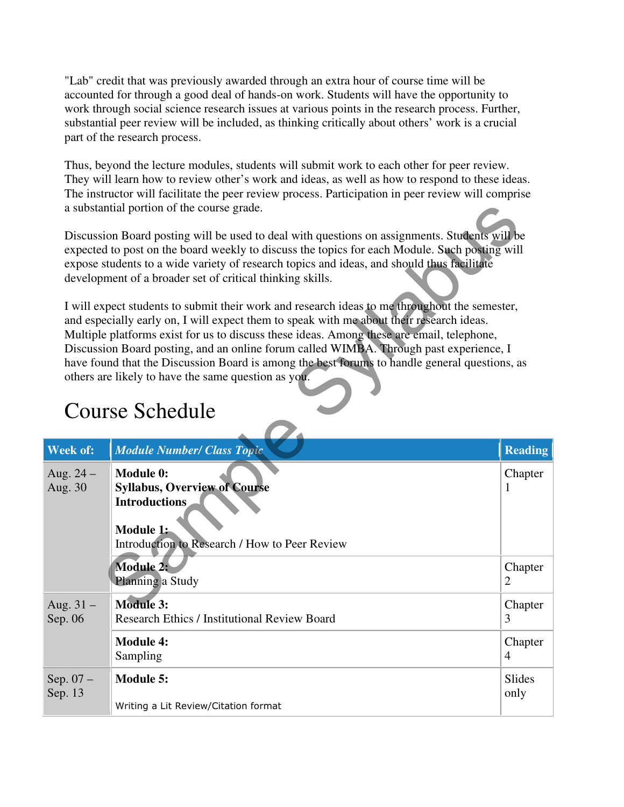"Lab" credit that was previously awarded through an extra hour of course time will be accounted for through a good deal of hands-on work. Students will have the opportunity to work through social science research issues at various points in the research process. Further, substantial peer review will be included, as thinking critically about others' work is a crucial part of the research process.

Thus, beyond the lecture modules, students will submit work to each other for peer review. They will learn how to review other's work and ideas, as well as how to respond to these ideas. The instructor will facilitate the peer review process. Participation in peer review will comprise a substantial portion of the course grade.

### Course Schedule

|                                                                                                                                                                                                                                                                                                                                                                                                                                                                                                                                                                    | a substantial portion of the course grade.                                                                                                                                                                                                                                                                                                                |                           |  |  |
|--------------------------------------------------------------------------------------------------------------------------------------------------------------------------------------------------------------------------------------------------------------------------------------------------------------------------------------------------------------------------------------------------------------------------------------------------------------------------------------------------------------------------------------------------------------------|-----------------------------------------------------------------------------------------------------------------------------------------------------------------------------------------------------------------------------------------------------------------------------------------------------------------------------------------------------------|---------------------------|--|--|
|                                                                                                                                                                                                                                                                                                                                                                                                                                                                                                                                                                    | Discussion Board posting will be used to deal with questions on assignments. Students will be<br>expected to post on the board weekly to discuss the topics for each Module. Such posting will<br>expose students to a wide variety of research topics and ideas, and should thus facilitate<br>development of a broader set of critical thinking skills. |                           |  |  |
| I will expect students to submit their work and research ideas to me throughout the semester,<br>and especially early on, I will expect them to speak with me about their research ideas.<br>Multiple platforms exist for us to discuss these ideas. Among these are email, telephone,<br>Discussion Board posting, and an online forum called WIMBA. Through past experience, I<br>have found that the Discussion Board is among the best forums to handle general questions, as<br>others are likely to have the same question as you.<br><b>Course Schedule</b> |                                                                                                                                                                                                                                                                                                                                                           |                           |  |  |
| Week of:                                                                                                                                                                                                                                                                                                                                                                                                                                                                                                                                                           | Module Number/ Class Topic                                                                                                                                                                                                                                                                                                                                | <b>Reading</b>            |  |  |
|                                                                                                                                                                                                                                                                                                                                                                                                                                                                                                                                                                    |                                                                                                                                                                                                                                                                                                                                                           |                           |  |  |
| Aug. $24-$<br>Aug. 30                                                                                                                                                                                                                                                                                                                                                                                                                                                                                                                                              | <b>Module 0:</b><br><b>Syllabus, Overview of Course</b><br><b>Introductions</b><br>Module 1:<br>Introduction to Research / How to Peer Review                                                                                                                                                                                                             | Chapter<br>1              |  |  |
|                                                                                                                                                                                                                                                                                                                                                                                                                                                                                                                                                                    | <b>Module 2:</b><br>Planning a Study                                                                                                                                                                                                                                                                                                                      | Chapter<br>2              |  |  |
| Aug. $31 -$<br>Sep. 06                                                                                                                                                                                                                                                                                                                                                                                                                                                                                                                                             | <b>Module 3:</b><br><b>Research Ethics / Institutional Review Board</b>                                                                                                                                                                                                                                                                                   | Chapter<br>3              |  |  |
|                                                                                                                                                                                                                                                                                                                                                                                                                                                                                                                                                                    | <b>Module 4:</b><br>Sampling                                                                                                                                                                                                                                                                                                                              | Chapter<br>$\overline{4}$ |  |  |
| Sep. $07 -$<br>Sep. 13                                                                                                                                                                                                                                                                                                                                                                                                                                                                                                                                             | <b>Module 5:</b><br>Writing a Lit Review/Citation format                                                                                                                                                                                                                                                                                                  | Slides<br>only            |  |  |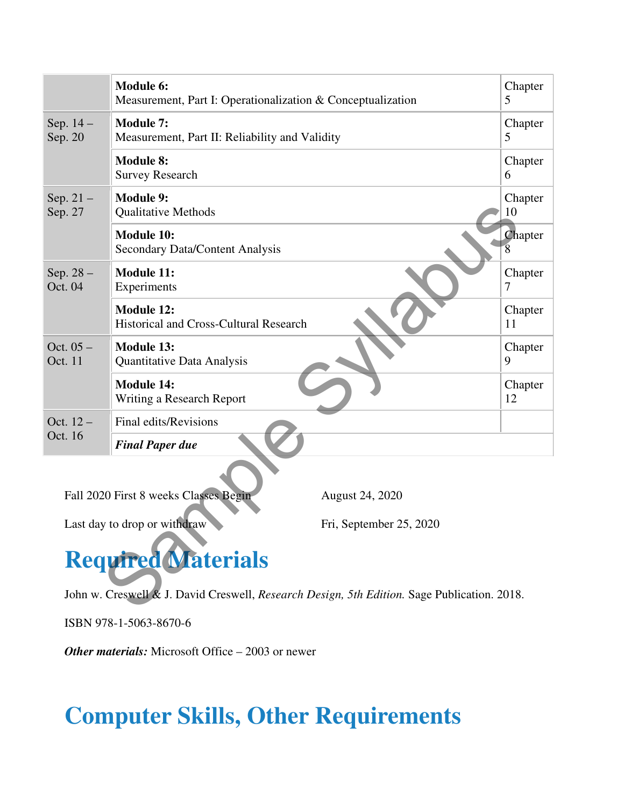| <b>Module 6:</b>                                                                                                                                                                                                                                | Chapter |  |  |
|-------------------------------------------------------------------------------------------------------------------------------------------------------------------------------------------------------------------------------------------------|---------|--|--|
| Measurement, Part I: Operationalization & Conceptualization                                                                                                                                                                                     | 5       |  |  |
| <b>Module 7:</b>                                                                                                                                                                                                                                | Chapter |  |  |
| Measurement, Part II: Reliability and Validity                                                                                                                                                                                                  | 5       |  |  |
| <b>Module 8:</b>                                                                                                                                                                                                                                | Chapter |  |  |
| <b>Survey Research</b>                                                                                                                                                                                                                          | 6       |  |  |
| <b>Module 9:</b>                                                                                                                                                                                                                                | Chapter |  |  |
| <b>Qualitative Methods</b>                                                                                                                                                                                                                      | 10      |  |  |
| <b>Module 10:</b>                                                                                                                                                                                                                               | Chapter |  |  |
| Secondary Data/Content Analysis                                                                                                                                                                                                                 | 8       |  |  |
| <b>Module 11:</b>                                                                                                                                                                                                                               | Chapter |  |  |
| Experiments                                                                                                                                                                                                                                     | 7       |  |  |
| Module 12:                                                                                                                                                                                                                                      | Chapter |  |  |
| Historical and Cross-Cultural Research                                                                                                                                                                                                          | 11      |  |  |
| <b>Module 13:</b>                                                                                                                                                                                                                               | Chapter |  |  |
| Quantitative Data Analysis                                                                                                                                                                                                                      | 9       |  |  |
| <b>Module 14:</b>                                                                                                                                                                                                                               | Chapter |  |  |
| Writing a Research Report                                                                                                                                                                                                                       | 12      |  |  |
| Final edits/Revisions                                                                                                                                                                                                                           |         |  |  |
| <b>Final Paper due</b>                                                                                                                                                                                                                          |         |  |  |
| Fall 2020 First 8 weeks Classes Begin<br>August 24, 2020<br>Last day to drop or withdraw<br>Fri, September 25, 2020<br><b>Required Materials</b><br>John w. Creswell & J. David Creswell, Research Design, 5th Edition. Sage Publication. 2018. |         |  |  |
|                                                                                                                                                                                                                                                 |         |  |  |

# **Required Materials**

ISBN 978-1-5063-8670-6

*Other materials:* Microsoft Office – 2003 or newer

# **Computer Skills, Other Requirements**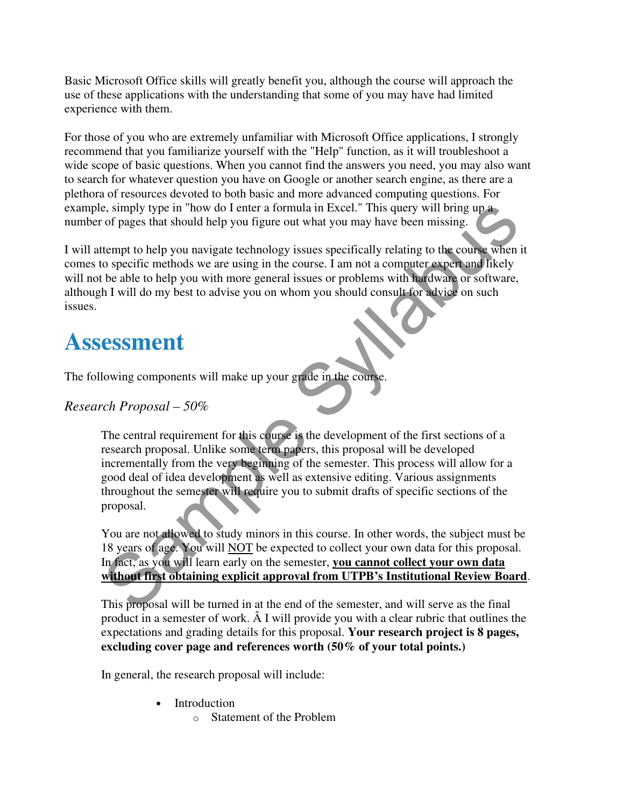Basic Microsoft Office skills will greatly benefit you, although the course will approach the use of these applications with the understanding that some of you may have had limited experience with them.

For those of you who are extremely unfamiliar with Microsoft Office applications, I strongly recommend that you familiarize yourself with the "Help" function, as it will troubleshoot a wide scope of basic questions. When you cannot find the answers you need, you may also want to search for whatever question you have on Google or another search engine, as there are a plethora of resources devoted to both basic and more advanced computing questions. For example, simply type in "how do I enter a formula in Excel." This query will bring up a number of pages that should help you figure out what you may have been missing.

I will attempt to help you navigate technology issues specifically relating to the course when it comes to specific methods we are using in the course. I am not a computer expert and likely will not be able to help you with more general issues or problems with hardware or software, although I will do my best to advise you on whom you should consult for advice on such issues.

### **Assessment**

The following components will make up your grade in the course.

#### *Research Proposal – 50%*

The central requirement for this course is the development of the first sections of a research proposal. Unlike some term papers, this proposal will be developed incrementally from the very beginning of the semester. This process will allow for a good deal of idea development as well as extensive editing. Various assignments throughout the semester will require you to submit drafts of specific sections of the proposal. e, simply type in "how do I enter a formula in Excel." This query will bring up a<br>
of pages that should help you figure out what you may have been missing.<br>
term to belo you navigate technology issues specifically relating

You are not allowed to study minors in this course. In other words, the subject must be 18 years of age. You will NOT be expected to collect your own data for this proposal. In fact, as you will learn early on the semester, **you cannot collect your own data without first obtaining explicit approval from UTPB's Institutional Review Board**.

This proposal will be turned in at the end of the semester, and will serve as the final product in a semester of work. Â I will provide you with a clear rubric that outlines the expectations and grading details for this proposal. **Your research project is 8 pages, excluding cover page and references worth (50% of your total points.)**

In general, the research proposal will include:

- **Introduction** 
	- o Statement of the Problem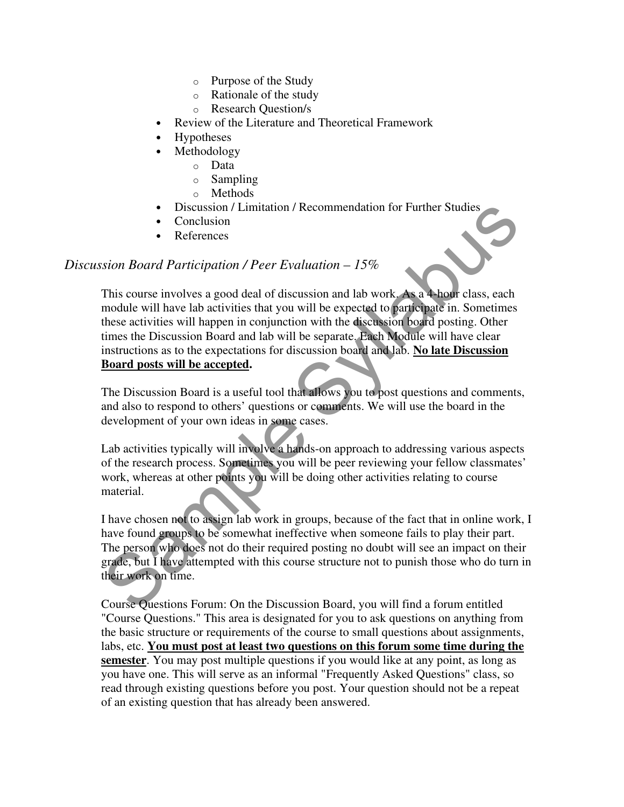- o Purpose of the Study
- o Rationale of the study
- o Research Question/s
- Review of the Literature and Theoretical Framework
- Hypotheses
- Methodology
	- o Data
	- o Sampling
	- o Methods
- Discussion / Limitation / Recommendation for Further Studies
- **Conclusion**
- **References**

#### *Discussion Board Participation / Peer Evaluation – 15%*

This course involves a good deal of discussion and lab work. As a 4-hour class, each module will have lab activities that you will be expected to participate in. Sometimes these activities will happen in conjunction with the discussion board posting. Other times the Discussion Board and lab will be separate. Each Module will have clear instructions as to the expectations for discussion board and lab. **No late Discussion Board posts will be accepted.**  Biscussion / Limitation / Recommendation for Further Studies<br>
Conclusion Board Participation / Peer Evaluation – 15%<br>
This course involves a good deal of discussion and lab work, As a 4-hour class, each<br>
module will have

The Discussion Board is a useful tool that allows you to post questions and comments, and also to respond to others' questions or comments. We will use the board in the development of your own ideas in some cases.

Lab activities typically will involve a hands-on approach to addressing various aspects of the research process. Sometimes you will be peer reviewing your fellow classmates' work, whereas at other points you will be doing other activities relating to course material.

I have chosen not to assign lab work in groups, because of the fact that in online work, I have found groups to be somewhat ineffective when someone fails to play their part. The person who does not do their required posting no doubt will see an impact on their grade, but I have attempted with this course structure not to punish those who do turn in their work on time.

Course Questions Forum: On the Discussion Board, you will find a forum entitled "Course Questions." This area is designated for you to ask questions on anything from the basic structure or requirements of the course to small questions about assignments, labs, etc. **You must post at least two questions on this forum some time during the semester**. You may post multiple questions if you would like at any point, as long as you have one. This will serve as an informal "Frequently Asked Questions" class, so read through existing questions before you post. Your question should not be a repeat of an existing question that has already been answered.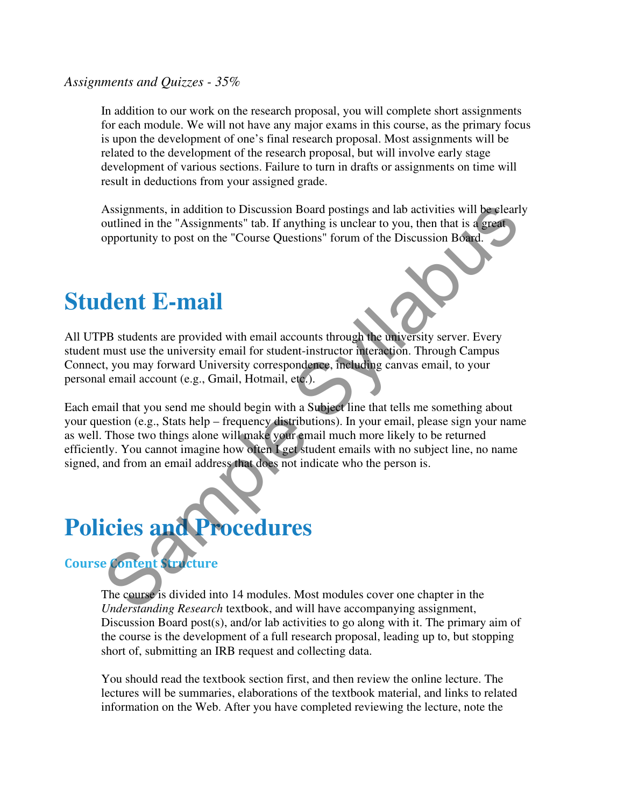#### *Assignments and Quizzes - 35%*

In addition to our work on the research proposal, you will complete short assignments for each module. We will not have any major exams in this course, as the primary focus is upon the development of one's final research proposal. Most assignments will be related to the development of the research proposal, but will involve early stage development of various sections. Failure to turn in drafts or assignments on time will result in deductions from your assigned grade.

Assignments, in addition to Discussion Board postings and lab activities will be clearly outlined in the "Assignments" tab. If anything is unclear to you, then that is a great opportunity to post on the "Course Questions" forum of the Discussion Board.

### **Student E-mail**

All UTPB students are provided with email accounts through the university server. Every student must use the university email for student-instructor interaction. Through Campus Connect, you may forward University correspondence, including canvas email, to your personal email account (e.g., Gmail, Hotmail, etc.).

Each email that you send me should begin with a Subject line that tells me something about your question (e.g., Stats help – frequency distributions). In your email, please sign your name as well. Those two things alone will make your email much more likely to be returned efficiently. You cannot imagine how often I get student emails with no subject line, no name signed, and from an email address that does not indicate who the person is. Assignments, in addition to Discussion Board postings and lab activities will be elear<br>outlined in the "Assignments" tab. If anything is unclear to you, then that is a great<br>opportunity to post on the "Course Questions" fo

# **Policies and Procedures**

#### Course Content Structure

The course is divided into 14 modules. Most modules cover one chapter in the *Understanding Research* textbook, and will have accompanying assignment, Discussion Board post(s), and/or lab activities to go along with it. The primary aim of the course is the development of a full research proposal, leading up to, but stopping short of, submitting an IRB request and collecting data.

You should read the textbook section first, and then review the online lecture. The lectures will be summaries, elaborations of the textbook material, and links to related information on the Web. After you have completed reviewing the lecture, note the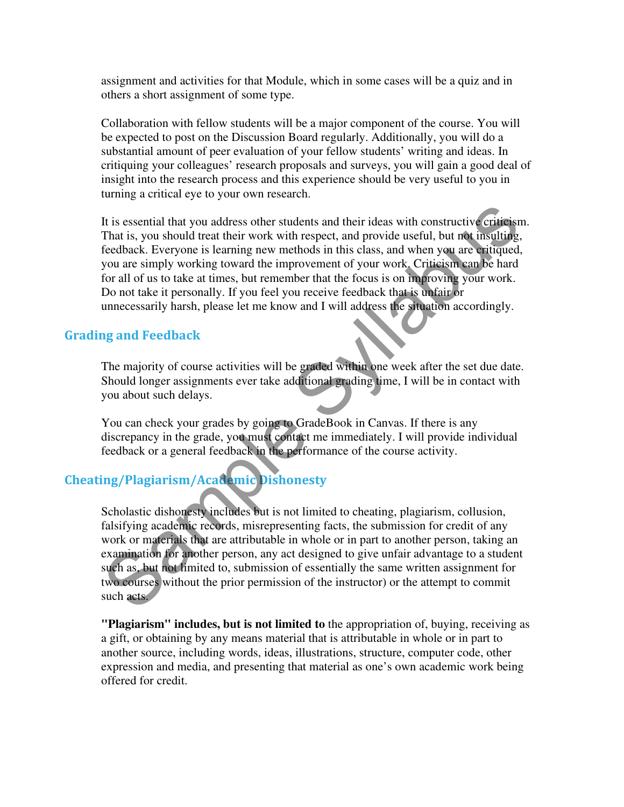assignment and activities for that Module, which in some cases will be a quiz and in others a short assignment of some type.

Collaboration with fellow students will be a major component of the course. You will be expected to post on the Discussion Board regularly. Additionally, you will do a substantial amount of peer evaluation of your fellow students' writing and ideas. In critiquing your colleagues' research proposals and surveys, you will gain a good deal of insight into the research process and this experience should be very useful to you in turning a critical eye to your own research.

It is essential that you address other students and their ideas with constructive criticism. That is, you should treat their work with respect, and provide useful, but not insulting, feedback. Everyone is learning new methods in this class, and when you are critiqued, you are simply working toward the improvement of your work. Criticism can be hard for all of us to take at times, but remember that the focus is on improving your work. Do not take it personally. If you feel you receive feedback that is unfair or unnecessarily harsh, please let me know and I will address the situation accordingly. It is essential that you address other students and their ideas with constructive criticis.<br>That is, you should treat their work with respect, and provide useful, but not insolting<br>codata. Everyone is learning new methods

#### Grading and Feedback

The majority of course activities will be graded within one week after the set due date. Should longer assignments ever take additional grading time, I will be in contact with you about such delays.

You can check your grades by going to GradeBook in Canvas. If there is any discrepancy in the grade, you must contact me immediately. I will provide individual feedback or a general feedback in the performance of the course activity.

#### Cheating/Plagiarism/Academic Dishonesty

Scholastic dishonesty includes but is not limited to cheating, plagiarism, collusion, falsifying academic records, misrepresenting facts, the submission for credit of any work or materials that are attributable in whole or in part to another person, taking an examination for another person, any act designed to give unfair advantage to a student such as, but not limited to, submission of essentially the same written assignment for two courses without the prior permission of the instructor) or the attempt to commit such acts.

**"Plagiarism" includes, but is not limited to** the appropriation of, buying, receiving as a gift, or obtaining by any means material that is attributable in whole or in part to another source, including words, ideas, illustrations, structure, computer code, other expression and media, and presenting that material as one's own academic work being offered for credit.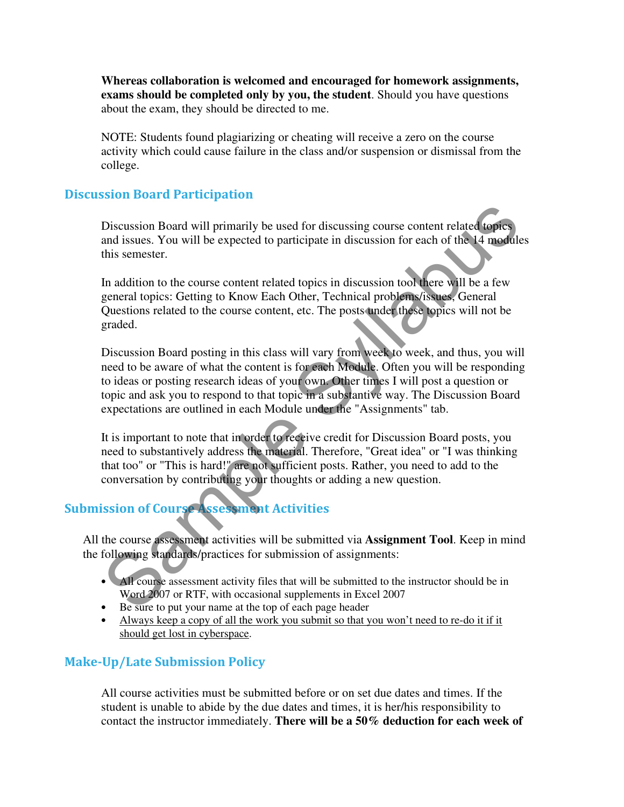**Whereas collaboration is welcomed and encouraged for homework assignments, exams should be completed only by you, the student**. Should you have questions about the exam, they should be directed to me.

NOTE: Students found plagiarizing or cheating will receive a zero on the course activity which could cause failure in the class and/or suspension or dismissal from the college.

#### Discussion Board Participation

Discussion Board will primarily be used for discussing course content related topics and issues. You will be expected to participate in discussion for each of the 14 modules this semester.

In addition to the course content related topics in discussion tool there will be a few general topics: Getting to Know Each Other, Technical problems/issues, General Questions related to the course content, etc. The posts under these topics will not be graded.

Discussion Board posting in this class will vary from week to week, and thus, you will need to be aware of what the content is for each Module. Often you will be responding to ideas or posting research ideas of your own. Other times I will post a question or topic and ask you to respond to that topic in a substantive way. The Discussion Board expectations are outlined in each Module under the "Assignments" tab. Discussion Board will primarily be used for discussing course content related topics<br>and issues. You will be expected to participate in discussion for each of the 14 module<br>this semester.<br>In addition to the course content

It is important to note that in order to receive credit for Discussion Board posts, you need to substantively address the material. Therefore, "Great idea" or "I was thinking that too" or "This is hard!" are not sufficient posts. Rather, you need to add to the conversation by contributing your thoughts or adding a new question.

#### Submission of Course Assessment Activities

All the course assessment activities will be submitted via **Assignment Tool**. Keep in mind the following standards/practices for submission of assignments:

- All course assessment activity files that will be submitted to the instructor should be in Word 2007 or RTF, with occasional supplements in Excel 2007
- Be sure to put your name at the top of each page header
- Always keep a copy of all the work you submit so that you won't need to re-do it if it should get lost in cyberspace.

#### Make-Up/Late Submission Policy

All course activities must be submitted before or on set due dates and times. If the student is unable to abide by the due dates and times, it is her/his responsibility to contact the instructor immediately. **There will be a 50% deduction for each week of**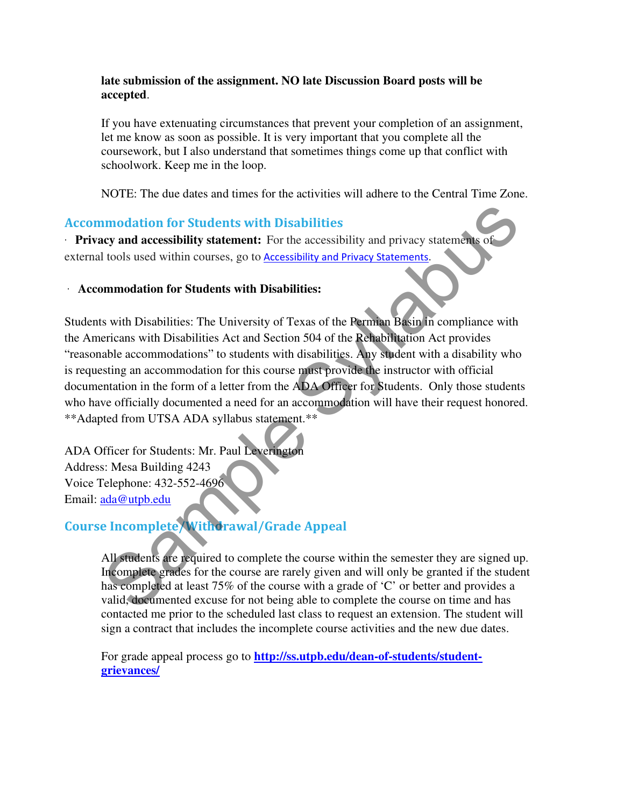#### **late submission of the assignment. NO late Discussion Board posts will be accepted**.

If you have extenuating circumstances that prevent your completion of an assignment, let me know as soon as possible. It is very important that you complete all the coursework, but I also understand that sometimes things come up that conflict with schoolwork. Keep me in the loop.

NOTE: The due dates and times for the activities will adhere to the Central Time Zone.

#### Accommodation for Students with Disabilities

· **Privacy and accessibility statement:** For the accessibility and privacy statements of external tools used within courses, go to **Accessibility and Privacy Statements**.

#### · **Accommodation for Students with Disabilities:**

Students with Disabilities: The University of Texas of the Permian Basin in compliance with the Americans with Disabilities Act and Section 504 of the Rehabilitation Act provides "reasonable accommodations" to students with disabilities. Any student with a disability who is requesting an accommodation for this course must provide the instructor with official documentation in the form of a letter from the ADA Officer for Students. Only those students who have officially documented a need for an accommodation will have their request honored. \*\*Adapted from UTSA ADA syllabus statement.\*\* **Example Syllabuse Syllabuset Syllabuset Syllabuset Syllabuset Syllabuset Syllabuset Syllabuset Syllabuset Syllabuset Syllabuset Syllabuset Syllabuset Syllabuset Syllabuset Syllabuset Syllabuset Syllabuset Syllabuset Sylla** 

ADA Officer for Students: Mr. Paul Leverington Address: Mesa Building 4243 Voice Telephone: 432-552-4696 Email: ada@utpb.edu

#### Course Incomplete/Withdrawal/Grade Appeal

All students are required to complete the course within the semester they are signed up. Incomplete grades for the course are rarely given and will only be granted if the student has completed at least 75% of the course with a grade of 'C' or better and provides a valid, documented excuse for not being able to complete the course on time and has contacted me prior to the scheduled last class to request an extension. The student will sign a contract that includes the incomplete course activities and the new due dates.

For grade appeal process go to **http://ss.utpb.edu/dean-of-students/studentgrievances/**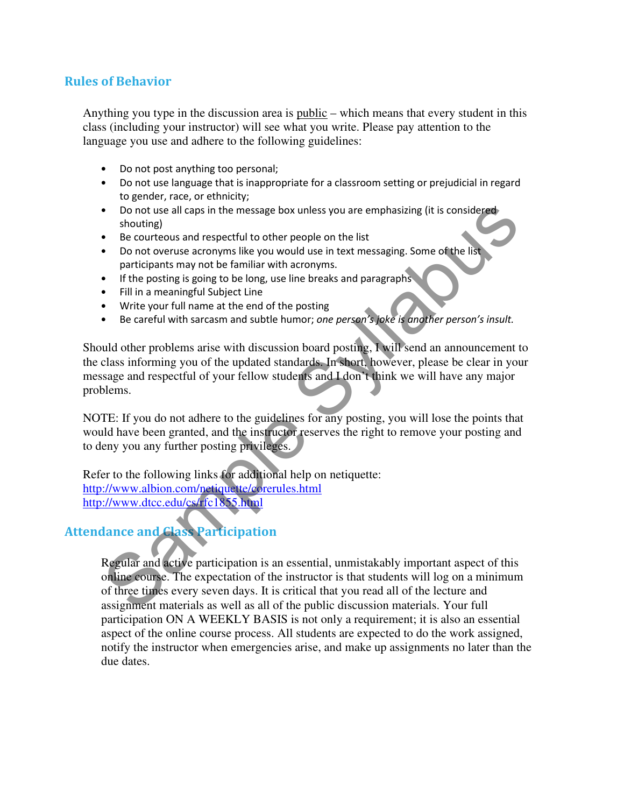#### Rules of Behavior

Anything you type in the discussion area is public – which means that every student in this class (including your instructor) will see what you write. Please pay attention to the language you use and adhere to the following guidelines:

- Do not post anything too personal;
- Do not use language that is inappropriate for a classroom setting or prejudicial in regard to gender, race, or ethnicity;
- Do not use all caps in the message box unless you are emphasizing (it is considered shouting)
- Be courteous and respectful to other people on the list
- Do not overuse acronyms like you would use in text messaging. Some of the list participants may not be familiar with acronyms.
- If the posting is going to be long, use line breaks and paragraphs
- Fill in a meaningful Subject Line
- Write your full name at the end of the posting
- Be careful with sarcasm and subtle humor; one person's joke is another person's insult.

Should other problems arise with discussion board posting, I will send an announcement to the class informing you of the updated standards. In short, however, please be clear in your message and respectful of your fellow students and I don't think we will have any major problems.

NOTE: If you do not adhere to the guidelines for any posting, you will lose the points that would have been granted, and the instructor reserves the right to remove your posting and to deny you any further posting privileges.

Refer to the following links for additional help on netiquette: http://www.albion.com/netiquette/corerules.html http://www.dtcc.edu/cs/rfc1855.html

#### Attendance and Class Participation

Regular and active participation is an essential, unmistakably important aspect of this online course. The expectation of the instructor is that students will log on a minimum of three times every seven days. It is critical that you read all of the lecture and assignment materials as well as all of the public discussion materials. Your full participation ON A WEEKLY BASIS is not only a requirement; it is also an essential aspect of the online course process. All students are expected to do the work assigned, notify the instructor when emergencies arise, and make up assignments no later than the due dates. • Do not use all caps in the message box unless you are emphasizing (it is considered<br>
• Showting)<br>
• Be courteous and respectful to other people on the list<br>
• Do not overuse acronyms like you would use in text messaging.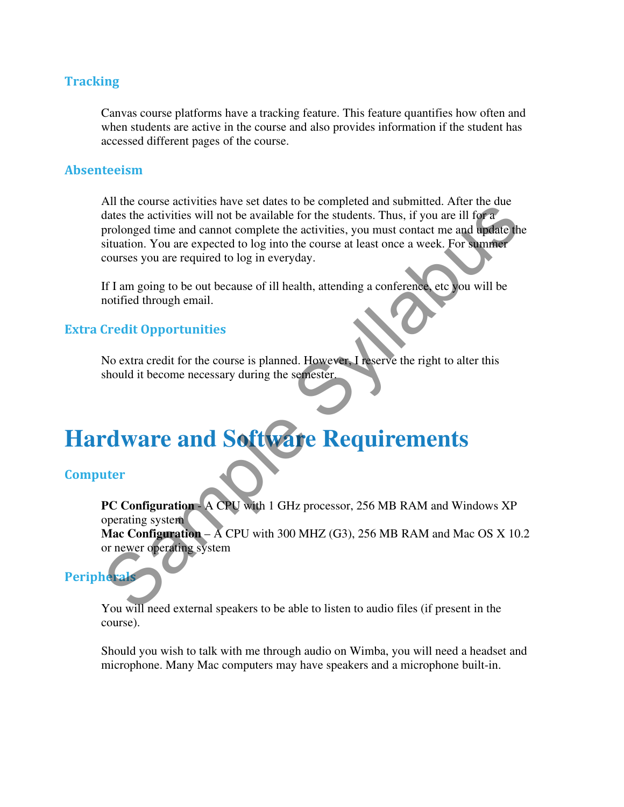#### **Tracking**

Canvas course platforms have a tracking feature. This feature quantifies how often and when students are active in the course and also provides information if the student has accessed different pages of the course.

#### Absenteeism

All the course activities have set dates to be completed and submitted. After the due dates the activities will not be available for the students. Thus, if you are ill for a prolonged time and cannot complete the activities, you must contact me and update the situation. You are expected to log into the course at least once a week. For summer courses you are required to log in everyday. Notice to the contracts and solven the state of the state in a state and solution. The contracts the activities will not be available for the statents. Thus, if you are ill for a<br>prolonged time and cannot complete the acti

If I am going to be out because of ill health, attending a conference, etc you will be notified through email.

#### Extra Credit Opportunities

No extra credit for the course is planned. However, I reserve the right to alter this should it become necessary during the semester.

### **Hardware and Software Requirements**

#### Computer

**PC Configuration** - A CPU with 1 GHz processor, 256 MB RAM and Windows XP operating system

**Mac Configuration** – A CPU with 300 MHZ (G3), 256 MB RAM and Mac OS X 10.2 or newer operating system

#### **Peripherals**

You will need external speakers to be able to listen to audio files (if present in the course).

Should you wish to talk with me through audio on Wimba, you will need a headset and microphone. Many Mac computers may have speakers and a microphone built-in.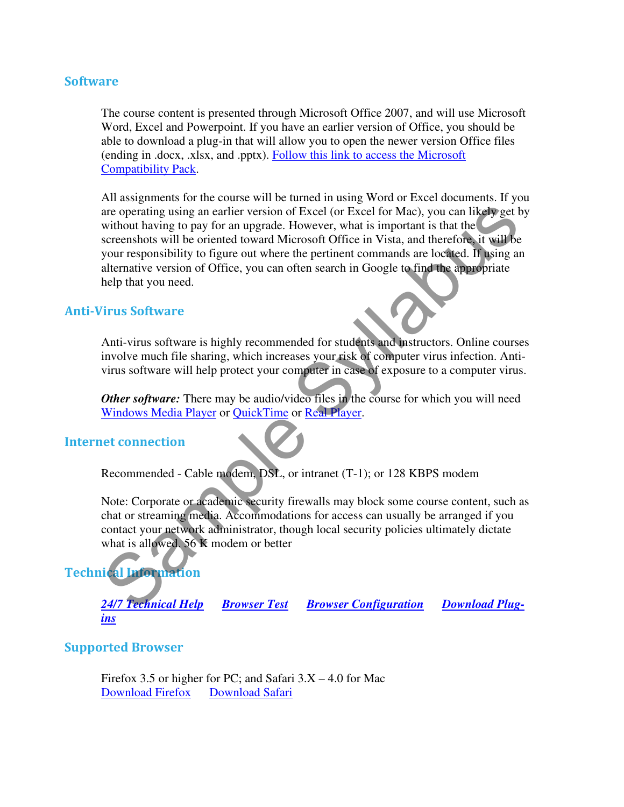#### Software

The course content is presented through Microsoft Office 2007, and will use Microsoft Word, Excel and Powerpoint. If you have an earlier version of Office, you should be able to download a plug-in that will allow you to open the newer version Office files (ending in .docx, .xlsx, and .pptx). Follow this link to access the Microsoft Compatibility Pack.

All assignments for the course will be turned in using Word or Excel documents. If you are operating using an earlier version of Excel (or Excel for Mac), you can likely get by without having to pay for an upgrade. However, what is important is that the screenshots will be oriented toward Microsoft Office in Vista, and therefore, it will be your responsibility to figure out where the pertinent commands are located. If using an alternative version of Office, you can often search in Google to find the appropriate help that you need. are operating using an earlier version of Excel (or Excel for Mac), you can likely get the<br>without having to pay for an upgrabe. However, what is important is that the<br>deforements will be oriented toward Microsoft Office i

#### Anti-Virus Software

Anti-virus software is highly recommended for students and instructors. Online courses involve much file sharing, which increases your risk of computer virus infection. Antivirus software will help protect your computer in case of exposure to a computer virus.

*Other software:* There may be audio/video files in the course for which you will need Windows Media Player or QuickTime or Real Player.

#### Internet connection

Recommended - Cable modem, DSL, or intranet (T-1); or 128 KBPS modem

Note: Corporate or academic security firewalls may block some course content, such as chat or streaming media. Accommodations for access can usually be arranged if you contact your network administrator, though local security policies ultimately dictate what is allowed. 56 K modem or better

#### Technical Information

*<u>Browser Test <b>Browser Configuration</u> Download Plug-*24/7 Technical Help

#### Supported Browser

Firefox 3.5 or higher for PC; and Safari  $3.X - 4.0$  for Mac Download Firefox Download Safari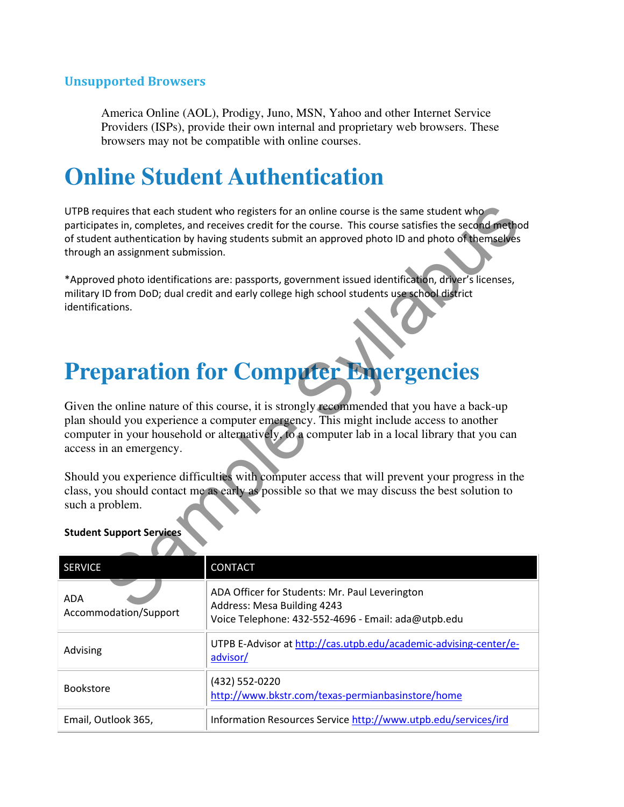#### Unsupported Browsers

America Online (AOL), Prodigy, Juno, MSN, Yahoo and other Internet Service Providers (ISPs), provide their own internal and proprietary web browsers. These browsers may not be compatible with online courses.

### **Online Student Authentication**

### **Preparation for Computer Emergencies**

#### Student Support Services

| UTPB requires that each student who registers for an online course is the same student who<br>participates in, completes, and receives credit for the course. This course satisfies the second method<br>of student authentication by having students submit an approved photo ID and photo of themselves<br>through an assignment submission. |                                                                                                                                      |  |  |  |
|------------------------------------------------------------------------------------------------------------------------------------------------------------------------------------------------------------------------------------------------------------------------------------------------------------------------------------------------|--------------------------------------------------------------------------------------------------------------------------------------|--|--|--|
| *Approved photo identifications are: passports, government issued identification, driver's licenses,<br>military ID from DoD; dual credit and early college high school students use school district<br>identifications.                                                                                                                       |                                                                                                                                      |  |  |  |
| <b>Preparation for Computer Emergencies</b>                                                                                                                                                                                                                                                                                                    |                                                                                                                                      |  |  |  |
| Given the online nature of this course, it is strongly recommended that you have a back-up<br>plan should you experience a computer emergency. This might include access to another<br>computer in your household or alternatively, to a computer lab in a local library that you can<br>access in an emergency.                               |                                                                                                                                      |  |  |  |
| Should you experience difficulties with computer access that will prevent your progress in the<br>class, you should contact me as early as possible so that we may discuss the best solution to<br>such a problem.                                                                                                                             |                                                                                                                                      |  |  |  |
| <b>Student Support Services</b>                                                                                                                                                                                                                                                                                                                |                                                                                                                                      |  |  |  |
| <b>SERVICE</b>                                                                                                                                                                                                                                                                                                                                 | CONTACT                                                                                                                              |  |  |  |
| ADA<br>Accommodation/Support                                                                                                                                                                                                                                                                                                                   | ADA Officer for Students: Mr. Paul Leverington<br>Address: Mesa Building 4243<br>Voice Telephone: 432-552-4696 - Email: ada@utpb.edu |  |  |  |
| Advising                                                                                                                                                                                                                                                                                                                                       | UTPB E-Advisor at http://cas.utpb.edu/academic-advising-center/e-<br>advisor/                                                        |  |  |  |
| <b>Bookstore</b>                                                                                                                                                                                                                                                                                                                               | (432) 552-0220<br>http://www.bkstr.com/texas-permianbasinstore/home                                                                  |  |  |  |
| Email, Outlook 365,                                                                                                                                                                                                                                                                                                                            | Information Resources Service http://www.utpb.edu/services/ird                                                                       |  |  |  |